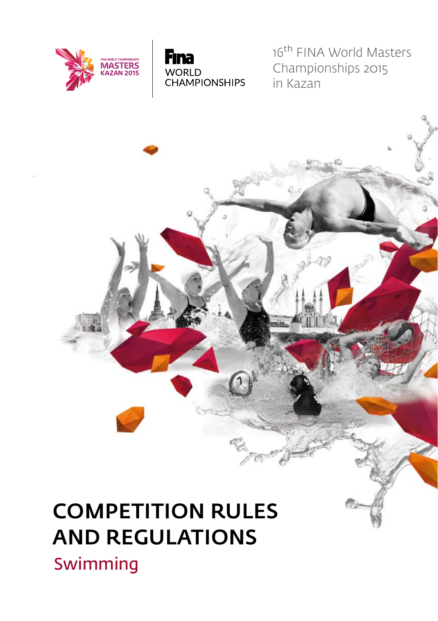



16<sup>th</sup> FINA World Masters Championships 2015 in Kazan

# COMPETITION RULES AND REGULATIONS

Swimming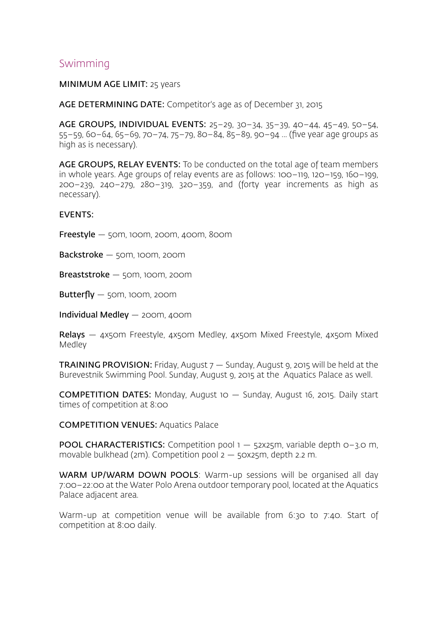### Swimming

#### MINIMUM AGE LIMIT: 25 years

AGE DETERMINING DATE: Competitor's age as of December 31, 2015

AGE GROUPS, INDIVIDUAL EVENTS: 25–29, 30–34, 35–39, 40–44, 45–49, 50–54, 55–59, 60–64, 65–69, 70–74, 75–79, 80–84, 85–89, 90–94 ... (five year age groups as high as is necessary).

AGE GROUPS, RELAY EVENTS: To be conducted on the total age of team members in whole years. Age groups of relay events are as follows: 100–119, 120–159, 160–199, 200–239, 240–279, 280–319, 320–359, and (forty year increments as high as necessary).

#### EVENTS:

Freestyle — 50m, 100m, 200m, 400m, 800m

Backstroke — 50m, 100m, 200m

Breaststroke — 50m, 100m, 200m

Butterfly  $-$  50m, 100m, 200m

Individual Medley — 200m, 400m

Relays - 4x50m Freestyle, 4x50m Medley, 4x50m Mixed Freestyle, 4x50m Mixed Medley

**TRAINING PROVISION:** Friday, August  $7 -$  Sunday, August 9, 2015 will be held at the Burevestnik Swimming Pool. Sunday, August 9, 2015 at the Aquatics Palace as well.

COMPETITION DATES: Monday, August 10 — Sunday, August 16, 2015. Daily start times of competition at 8:00

COMPETITION VENUES: Aquatics Palace

**POOL CHARACTERISTICS:** Competition pool  $1 - 52x25$ m, variable depth  $0 - 3.0$  m, movable bulkhead (2m). Competition pool 2 — 50х25m, depth 2.2 m.

WARM UP/WARM DOWN POOLS: Warm-up sessions will be organised all day 7:00–22:00 at the Water Polo Arena outdoor temporary pool, located at the Aquatics Palace adjacent area.

Warm-up at competition venue will be available from 6:30 to 7:40. Start of competition at 8:00 daily.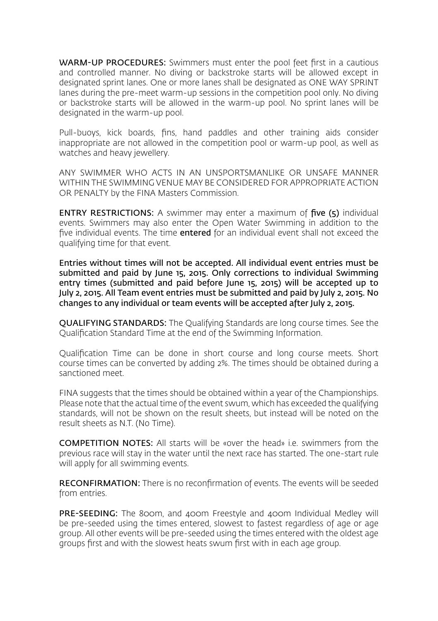WARM-UP PROCEDURES: Swimmers must enter the pool feet first in a cautious and controlled manner. No diving or backstroke starts will be allowed except in designated sprint lanes. One or more lanes shall be designated as ONE WAY SPRINT lanes during the pre-meet warm-up sessions in the competition pool only. No diving or backstroke starts will be allowed in the warm-up pool. No sprint lanes will be designated in the warm-up pool.

Pull-buoys, kick boards, fins, hand paddles and other training aids consider inappropriate are not allowed in the competition pool or warm-up pool, as well as watches and heavy jewellery.

ANY SWIMMER WHO ACTS IN AN UNSPORTSMANLIKE OR UNSAFE MANNER WITHIN THE SWIMMING VENUE MAY BE CONSIDERED FOR APPROPRIATE ACTION OR PENALTY by the FINA Masters Commission.

ENTRY RESTRICTIONS: A swimmer may enter a maximum of five (5) individual events. Swimmers may also enter the Open Water Swimming in addition to the five individual events. The time entered for an individual event shall not exceed the qualifying time for that event.

Entries without times will not be accepted. All individual event entries must be submitted and paid by June 15, 2015. Only corrections to individual Swimming entry times (submitted and paid before June 15, 2015) will be accepted up to July 2, 2015. All Team event entries must be submitted and paid by July 2, 2015. No changes to any individual or team events will be accepted after July 2, 2015.

QUALIFYING STANDARDS: The Qualifying Standards are long course times. See the Qualification Standard Time at the end of the Swimming Information.

Qualification Time can be done in short course and long course meets. Short course times can be converted by adding 2%. The times should be obtained during a sanctioned meet.

FINA suggests that the times should be obtained within a year of the Championships. Please note that the actual time of the event swum, which has exceeded the qualifying standards, will not be shown on the result sheets, but instead will be noted on the result sheets as N.T. (No Time).

COMPETITION NOTES: All starts will be «over the head» i.e. swimmers from the previous race will stay in the water until the next race has started. The one-start rule will apply for all swimming events.

RECONFIRMATION: There is no reconfirmation of events. The events will be seeded from entries.

PRE-SEEDING: The 800m, and 400m Freestyle and 400m Individual Medley will be pre-seeded using the times entered, slowest to fastest regardless of age or age group. All other events will be pre-seeded using the times entered with the oldest age groups first and with the slowest heats swum first with in each age group.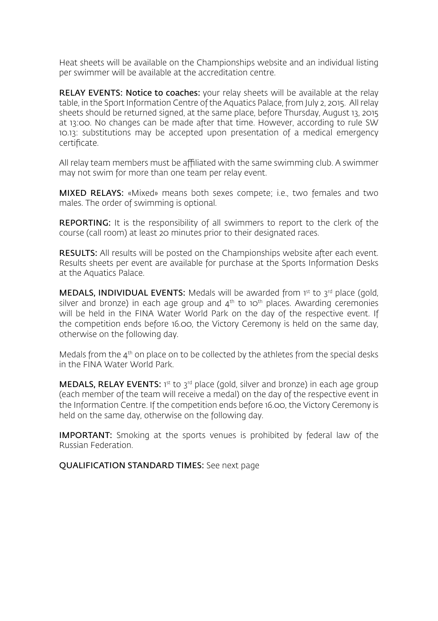Heat sheets will be available on the Championships website and an individual listing per swimmer will be available at the accreditation centre.

RELAY EVENTS: Notice to coaches: your relay sheets will be available at the relay table, in the Sport Information Centre of the Aquatics Palace, from July 2, 2015. All relay sheets should be returned signed, at the same place, before Thursday, August 13, 2015 at 13:00. No changes can be made after that time. However, according to rule SW 10.13: substitutions may be accepted upon presentation of a medical emergency certificate.

All relay team members must be affiliated with the same swimming club. A swimmer may not swim for more than one team per relay event.

MIXED RELAYS: «Mixed» means both sexes compete; i.e., two females and two males. The order of swimming is optional.

REPORTING: It is the responsibility of all swimmers to report to the clerk of the course (call room) at least 20 minutes prior to their designated races.

RESULTS: All results will be posted on the Championships website after each event. Results sheets per event are available for purchase at the Sports Information Desks at the Aquatics Palace.

MEDALS, INDIVIDUAL EVENTS: Medals will be awarded from 1st to 3rd place (gold, silver and bronze) in each age group and  $4<sup>th</sup>$  to 10<sup>th</sup> places. Awarding ceremonies will be held in the FINA Water World Park on the day of the respective event. If the competition ends before 16.00, the Victory Ceremony is held on the same day, otherwise on the following day.

Medals from the  $4<sup>th</sup>$  on place on to be collected by the athletes from the special desks in the FINA Water World Park.

**MEDALS, RELAY EVENTS:** 1<sup>st</sup> to 3<sup>rd</sup> place (gold, silver and bronze) in each age group (each member of the team will receive a medal) on the day of the respective event in the Information Centre. If the competition ends before 16.00, the Victory Ceremony is held on the same day, otherwise on the following day.

IMPORTANT: Smoking at the sports venues is prohibited by federal law of the Russian Federation.

QUALIFICATION STANDARD TIMES: See next page